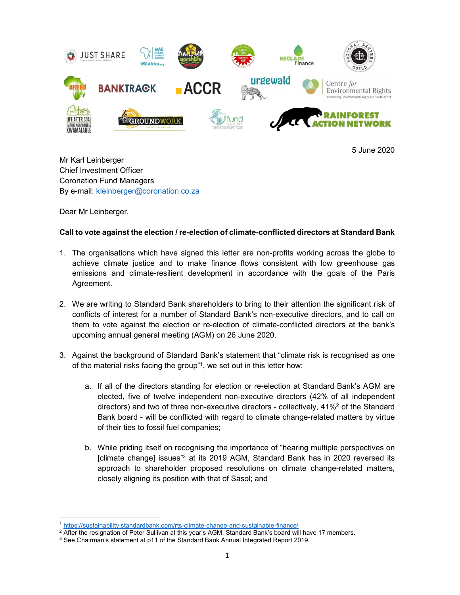

5 June 2020

Mr Karl Leinberger Chief Investment Officer Coronation Fund Managers By e-mail: <u>kleinberger@coronation.co.za</u><br>Dear Mr Leinberger,

## Call to vote against the election / re-election of climate-conflicted directors at Standard Bank

- 1. The organisations which have signed this letter are non-profits working across the globe to achieve climate justice and to make finance flows consistent with low greenhouse gas emissions and climate-resilient development in accordance with the goals of the Paris Agreement.
- 2. We are writing to Standard Bank shareholders to bring to their attention the significant risk of conflicts of interest for a number of Standard Bank's non-executive directors, and to call on them to vote against the election or re-election of climate-conflicted directors at the bank's upcoming annual general meeting (AGM) on 26 June 2020.
- 3. Against the background of Standard Bank's statement that "climate risk is recognised as one of the material risks facing the group"1 , we set out in this letter how:
	- a. If all of the directors standing for election or re-election at Standard Bank's AGM are elected, five of twelve independent non-executive directors (42% of all independent directors) and two of three non-executive directors - collectively, 41%2 of the Standard Bank board - will be conflicted with regard to climate change-related matters by virtue of their ties to fossil fuel companies;
	- b. While priding itself on recognising the importance of "hearing multiple perspectives on [climate change] issues"<sup>3</sup> at its 2019 AGM, Standard Bank has in 2020 reversed its approach to shareholder proposed resolutions on climate change-related matters, closely aligning its position with that of Sasol; and

 $\overline{a}$ 1 https://sustainability.standardbank.com/rts-climate-change-and-sustainable-finance/

<sup>&</sup>lt;sup>2</sup> After the resignation of Peter Sullivan at this year's AGM, Standard Bank's board will have 17 members.<br><sup>3</sup> See Chairman's statement at n11 of the Standard Bank Annual Integrated Report 2019.

 $3$  See Chairman's statement at p11 of the Standard Bank Annual Integrated Report 2019.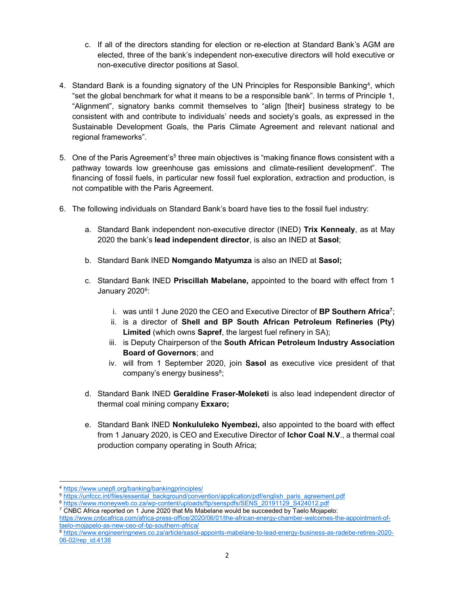- c. If all of the directors standing for election or re-election at Standard Bank's AGM are elected, three of the bank's independent non-executive directors will hold executive or non-executive director positions at Sasol.
- 4. Standard Bank is a founding signatory of the UN Principles for Responsible Banking<sup>4</sup>, which "set the global benchmark for what it means to be a responsible bank". In terms of Principle 1, "Alignment", signatory banks commit themselves to "align [their] business strategy to be consistent with and contribute to individuals' needs and society's goals, as expressed in the Sustainable Development Goals, the Paris Climate Agreement and relevant national and regional frameworks".
- 5. One of the Paris Agreement's<sup>5</sup> three main objectives is "making finance flows consistent with a pathway towards low greenhouse gas emissions and climate-resilient development". The financing of fossil fuels, in particular new fossil fuel exploration, extraction and production, is not compatible with the Paris Agreement.
- 6. The following individuals on Standard Bank's board have ties to the fossil fuel industry:
	- a. Standard Bank independent non-executive director (INED) Trix Kennealy, as at May 2020 the bank's lead independent director, is also an INED at Sasol;
	- b. Standard Bank INED Nomgando Matyumza is also an INED at Sasol;
	- c. Standard Bank INED Priscillah Mabelane, appointed to the board with effect from 1 January 2020<sup>6</sup>:
		- i. was until 1 June 2020 the CEO and Executive Director of BP Southern Africa<sup>7</sup>;
		- ii. is a director of Shell and BP South African Petroleum Refineries (Pty) Limited (which owns Sapref, the largest fuel refinery in SA);
		- iii. is Deputy Chairperson of the South African Petroleum Industry Association Board of Governors; and
		- iv. will from 1 September 2020, join Sasol as executive vice president of that company's energy business<sup>8</sup>;
	- d. Standard Bank INED Geraldine Fraser-Moleketi is also lead independent director of thermal coal mining company Exxaro;
	- e. Standard Bank INED Nonkululeko Nyembezi, also appointed to the board with effect from 1 January 2020, is CEO and Executive Director of Ichor Coal N.V., a thermal coal production company operating in South Africa;

-

<sup>4</sup> https://www.unepfi.org/banking/bankingprinciples/

<sup>5</sup> https://unfccc.int/files/essential\_background/convention/application/pdf/english\_paris\_agreement.pdf

<sup>6</sup> https://www.moneyweb.co.za/wp-content/uploads/ftp/senspdfs/SENS\_20191129\_S424012.pdf

 $^7$  CNBC Africa reported on 1 June 2020 that Ms Mabelane would be succeeded by Taelo Mojapelo:

https://www.cnbcafrica.com/africa-press-office/2020/06/01/the-african-energy-chamber-welcomes-the-appointment-oftaelo-mojapelo-as-new-ceo-of-bp-southern-africa/

<sup>8</sup> https://www.engineeringnews.co.za/article/sasol-appoints-mabelane-to-lead-energy-business-as-radebe-retires-2020- 06-02/rep\_id:4136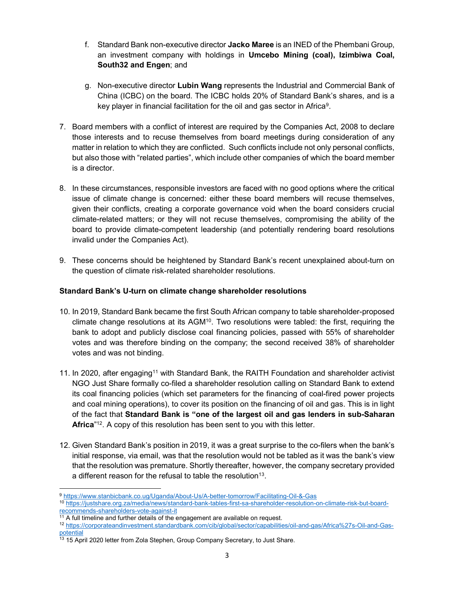- f. Standard Bank non-executive director Jacko Maree is an INED of the Phembani Group, an investment company with holdings in Umcebo Mining (coal), Izimbiwa Coal, South32 and Engen; and
- g. Non-executive director Lubin Wang represents the Industrial and Commercial Bank of China (ICBC) on the board. The ICBC holds 20% of Standard Bank's shares, and is a key player in financial facilitation for the oil and gas sector in Africa<sup>9</sup>.
- 7. Board members with a conflict of interest are required by the Companies Act, 2008 to declare those interests and to recuse themselves from board meetings during consideration of any matter in relation to which they are conflicted. Such conflicts include not only personal conflicts, but also those with "related parties", which include other companies of which the board member is a director.
- 8. In these circumstances, responsible investors are faced with no good options where the critical issue of climate change is concerned: either these board members will recuse themselves, given their conflicts, creating a corporate governance void when the board considers crucial climate-related matters; or they will not recuse themselves, compromising the ability of the board to provide climate-competent leadership (and potentially rendering board resolutions invalid under the Companies Act).
- 9. These concerns should be heightened by Standard Bank's recent unexplained about-turn on the question of climate risk-related shareholder resolutions.

## Standard Bank's U-turn on climate change shareholder resolutions

- 10. In 2019, Standard Bank became the first South African company to table shareholder-proposed climate change resolutions at its AGM<sup>10</sup>. Two resolutions were tabled: the first, requiring the bank to adopt and publicly disclose coal financing policies, passed with 55% of shareholder votes and was therefore binding on the company; the second received 38% of shareholder votes and was not binding.
- 11. In 2020, after engaging<sup>11</sup> with Standard Bank, the RAITH Foundation and shareholder activist NGO Just Share formally co-filed a shareholder resolution calling on Standard Bank to extend its coal financing policies (which set parameters for the financing of coal-fired power projects and coal mining operations), to cover its position on the financing of oil and gas. This is in light of the fact that Standard Bank is "one of the largest oil and gas lenders in sub-Saharan Africa"<sup>12</sup>. A copy of this resolution has been sent to you with this letter.
- 12. Given Standard Bank's position in 2019, it was a great surprise to the co-filers when the bank's initial response, via email, was that the resolution would not be tabled as it was the bank's view that the resolution was premature. Shortly thereafter, however, the company secretary provided a different reason for the refusal to table the resolution<sup>13</sup>.

 $\overline{a}$ <sup>9</sup> https://www.stanbicbank.co.ug/Uganda/About-Us/A-better-tomorrow/Facilitating-Oil-&-Gas

<sup>10</sup> https://justshare.org.za/media/news/standard-bank-tables-first-sa-shareholder-resolution-on-climate-risk-but-boardrecommends-shareholders-vote-against-it

 $11$  A full timeline and further details of the engagement are available on request.

<sup>12</sup> https://corporateandinvestment.standardbank.com/cib/global/sector/capabilities/oil-and-gas/Africa%27s-Oil-and-Gaspotential

 $\frac{13}{13}$  15 April 2020 letter from Zola Stephen, Group Company Secretary, to Just Share.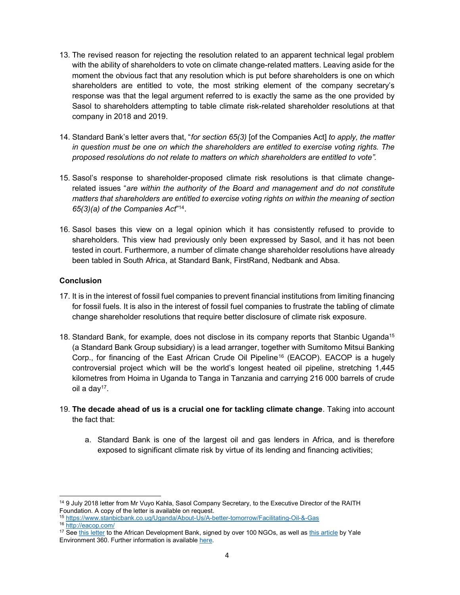- 13. The revised reason for rejecting the resolution related to an apparent technical legal problem with the ability of shareholders to vote on climate change-related matters. Leaving aside for the moment the obvious fact that any resolution which is put before shareholders is one on which shareholders are entitled to vote, the most striking element of the company secretary's response was that the legal argument referred to is exactly the same as the one provided by Sasol to shareholders attempting to table climate risk-related shareholder resolutions at that company in 2018 and 2019.
- 14. Standard Bank's letter avers that, "for section 65(3) [of the Companies Act] to apply, the matter in question must be one on which the shareholders are entitled to exercise voting rights. The proposed resolutions do not relate to matters on which shareholders are entitled to vote".
- 15. Sasol's response to shareholder-proposed climate risk resolutions is that climate changerelated issues "are within the authority of the Board and management and do not constitute matters that shareholders are entitled to exercise voting rights on within the meaning of section  $65(3)(a)$  of the Companies Act<sup> $n_{14}$ </sup>.
- 16. Sasol bases this view on a legal opinion which it has consistently refused to provide to shareholders. This view had previously only been expressed by Sasol, and it has not been tested in court. Furthermore, a number of climate change shareholder resolutions have already been tabled in South Africa, at Standard Bank, FirstRand, Nedbank and Absa.

## **Conclusion**

- 17. It is in the interest of fossil fuel companies to prevent financial institutions from limiting financing for fossil fuels. It is also in the interest of fossil fuel companies to frustrate the tabling of climate change shareholder resolutions that require better disclosure of climate risk exposure.
- 18. Standard Bank, for example, does not disclose in its company reports that Stanbic Uganda<sup>15</sup> (a Standard Bank Group subsidiary) is a lead arranger, together with Sumitomo Mitsui Banking Corp., for financing of the East African Crude Oil Pipeline<sup>16</sup> (EACOP). EACOP is a hugely controversial project which will be the world's longest heated oil pipeline, stretching 1,445 kilometres from Hoima in Uganda to Tanga in Tanzania and carrying 216 000 barrels of crude oil a day<sup>17</sup>.
- 19. The decade ahead of us is a crucial one for tackling climate change. Taking into account the fact that:
	- a. Standard Bank is one of the largest oil and gas lenders in Africa, and is therefore exposed to significant climate risk by virtue of its lending and financing activities;

 $\overline{a}$ <sup>14</sup> 9 July 2018 letter from Mr Vuyo Kahla, Sasol Company Secretary, to the Executive Director of the RAITH Foundation. A copy of the letter is available on request.

<sup>15</sup> https://www.stanbicbank.co.ug/Uganda/About-Us/A-better-tomorrow/Facilitating-Oil-&-Gas

<sup>16</sup> http://eacop.com/

<sup>&</sup>lt;sup>17</sup> See this letter to the African Development Bank, signed by over 100 NGOs, as well as this article by Yale Environment 360. Further information is available here.